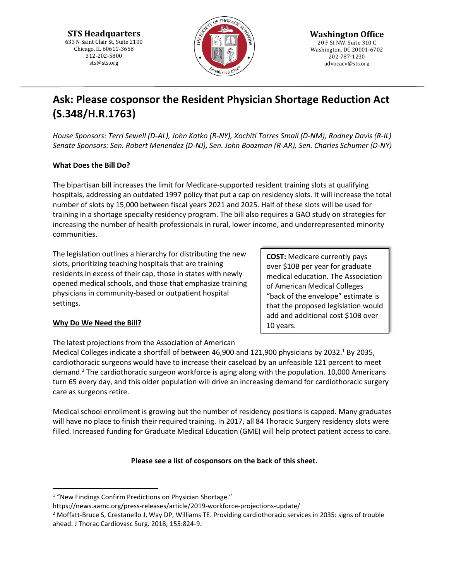**STS Headquarters** 633 N Saint Clair St, Suite 2100 Chicago, IL 60611-3658 312-202-5800 sts@sts.org



# **Ask: Please cosponsor the Resident Physician Shortage Reduction Act (S.348/H.R.1763)**

*House Sponsors: Terri Sewell (D-AL), John Katko (R-NY), Xochitl Torres Small (D-NM), Rodney Davis (R-IL) Senate Sponsors: Sen. Robert Menendez (D-NJ), Sen. John Boozman (R-AR), Sen. Charles Schumer (D-NY)*

## **What Does the Bill Do?**

The bipartisan bill increases the limit for Medicare-supported resident training slots at qualifying hospitals, addressing an outdated 1997 policy that put a cap on residency slots. It will increase the total number of slots by 15,000 between fiscal years 2021 and 2025. Half of these slots will be used for training in a shortage specialty residency program. The bill also requires a GAO study on strategies for increasing the number of health professionals in rural, lower income, and underrepresented minority communities.

The legislation outlines a hierarchy for distributing the new slots, prioritizing teaching hospitals that are training residents in excess of their cap, those in states with newly opened medical schools, and those that emphasize training physicians in community-based or outpatient hospital settings.

**COST:** Medicare currently pays over \$10B per year for graduate medical education. The Association of American Medical Colleges "back of the envelope" estimate is that the proposed legislation would add and additional cost \$10B over 10 years.

## **Why Do We Need the Bill?**

 $\overline{a}$ 

The latest projections from the Association of American

Medical Colleges indicate a shortfall of between 46,900 and 121,900 physicians by 2032.<sup>1</sup> By 2035, cardiothoracic surgeons would have to increase their caseload by an unfeasible 121 percent to meet demand.<sup>2</sup> The cardiothoracic surgeon workforce is aging along with the population. 10,000 Americans turn 65 every day, and this older population will drive an increasing demand for cardiothoracic surgery care as surgeons retire.

Medical school enrollment is growing but the number of residency positions is capped. Many graduates will have no place to finish their required training. In 2017, all 84 Thoracic Surgery residency slots were filled. Increased funding for Graduate Medical Education (GME) will help protect patient access to care.

## **Please see a list of cosponsors on the back of this sheet.**

<sup>1</sup> "New Findings Confirm Predictions on Physician Shortage."

https://news.aamc.org/press-releases/article/2019-workforce-projections-update/

<sup>2</sup> Moffatt-Bruce S, Crestanello J, Way DP, Williams TE. Providing cardiothoracic services in 2035: signs of trouble ahead. J Thorac Cardiovasc Surg. 2018; 155:824-9.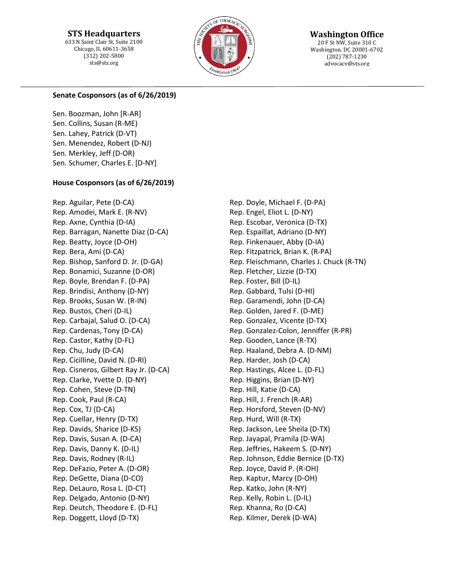**STS Headquarters** 633 N Saint Clair St, Suite 2100 Chicago, IL 60611-3658 (312) 202-5800 sts@sts.org



**Washington Office** 20 F St NW, Suite 310 C Washington, DC 20001-6702 (202) 787-1230 advocacy@sts.org

#### **Senate Cosponsors (as of 6/26/2019)**

Sen. Boozman, John [R-AR] Sen. Collins, Susan (R-ME) Sen. Lahey, Patrick (D-VT) Sen. Menendez, Robert (D-NJ) Sen. Merkley, Jeff (D-OR) Sen. Schumer, Charles E. [D-NY]

#### **House Cosponsors (as of 6/26/2019)**

Rep. Aguilar, Pete (D-CA) Rep. Amodei, Mark E. (R-NV) Rep. Axne, Cynthia (D-IA) Rep. Barragan, Nanette Diaz (D-CA) Rep. Beatty, Joyce (D-OH) Rep. Bera, Ami (D-CA) Rep. Bishop, Sanford D. Jr. (D-GA) Rep. Bonamici, Suzanne (D-OR) Rep. Boyle, Brendan F. (D-PA) Rep. Brindisi, Anthony (D-NY) Rep. Brooks, Susan W. (R-IN) Rep. Bustos, Cheri (D-IL) Rep. Carbajal, Salud O. (D-CA) Rep. Cardenas, Tony (D-CA) Rep. Castor, Kathy (D-FL) Rep. Chu, Judy (D-CA) Rep. Cicilline, David N. (D-RI) Rep. Cisneros, Gilbert Ray Jr. (D-CA) Rep. Clarke, Yvette D. (D-NY) Rep. Cohen, Steve (D-TN) Rep. Cook, Paul (R-CA) Rep. Cox, TJ (D-CA) Rep. Cuellar, Henry (D-TX) Rep. Davids, Sharice (D-KS) Rep. Davis, Susan A. (D-CA) Rep. Davis, Danny K. (D-IL) Rep. Davis, Rodney (R-IL) Rep. DeFazio, Peter A. (D-OR) Rep. DeGette, Diana (D-CO) Rep. DeLauro, Rosa L. (D-CT) Rep. Delgado, Antonio (D-NY) Rep. Deutch, Theodore E. (D-FL) Rep. Doggett, Lloyd (D-TX)

Rep. Doyle, Michael F. (D-PA) Rep. Engel, Eliot L. (D-NY) Rep. Escobar, Veronica (D-TX) Rep. Espaillat, Adriano (D-NY) Rep. Finkenauer, Abby (D-IA) Rep. Fitzpatrick, Brian K. (R-PA) Rep. Fleischmann, Charles J. Chuck (R-TN) Rep. Fletcher, Lizzie (D-TX) Rep. Foster, Bill (D-IL) Rep. Gabbard, Tulsi (D-HI) Rep. Garamendi, John (D-CA) Rep. Golden, Jared F. (D-ME) Rep. Gonzalez, Vicente (D-TX) Rep. Gonzalez-Colon, Jenniffer (R-PR) Rep. Gooden, Lance (R-TX) Rep. Haaland, Debra A. (D-NM) Rep. Harder, Josh (D-CA) Rep. Hastings, Alcee L. (D-FL) Rep. Higgins, Brian (D-NY) Rep. Hill, Katie (D-CA) Rep. Hill, J. French (R-AR) Rep. Horsford, Steven (D-NV) Rep. Hurd, Will (R-TX) Rep. Jackson, Lee Sheila (D-TX) Rep. Jayapal, Pramila (D-WA) Rep. Jeffries, Hakeem S. (D-NY) Rep. Johnson, Eddie Bernice (D-TX) Rep. Joyce, David P. (R-OH) Rep. Kaptur, Marcy (D-OH) Rep. Katko, John (R-NY) Rep. Kelly, Robin L. (D-IL) Rep. Khanna, Ro (D-CA) Rep. Kilmer, Derek (D-WA)